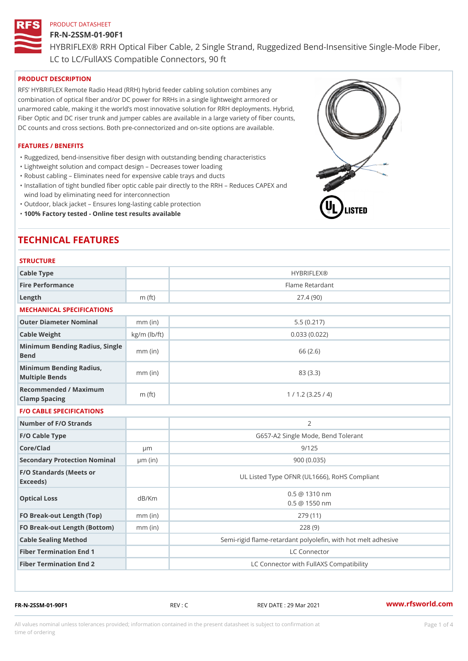## FR-N-2SSM-01-90F1

HYBRIFLEX® RRH Optical Fiber Cable, 2 Single Strand, Ruggedized Be

LC to LC/FullAXS Compatible Connectors, 90 ft

## PRODUCT DESCRIPTION

RFS HYBRIFLEX Remote Radio Head (RRH) hybrid feeder cabling solution combines any combination of optical fiber and/or DC power for RRHs in a single lightweight armored or unarmored cable, making it the world s most innovative solution for RRH deployments. Hybrid, Fiber Optic and DC riser trunk and jumper cables are available in a large variety of fiber counts, DC counts and cross sections. Both pre-connectorized and on-site options are available.

## FEATURES / BENEFITS

"Ruggedized, bend-insensitive fiber design with outstanding bending characteristics

- "Lightweight solution and compact design Decreases tower loading
- "Robust cabling Eliminates need for expensive cable trays and ducts
- "Installation of tight bundled fiber optic cable pair directly to the RRH Aeduces CAPEX and wind load by eliminating need for interconnection
- "Outdoor, black jacket Ensures long-lasting cable protection
- "100% Factory tested Online test results available

# TECHNICAL FEATURES

## **STRUCTURE**

| .                                                 |                    |                                                          |
|---------------------------------------------------|--------------------|----------------------------------------------------------|
| Cable Type                                        |                    | <b>HYBRIFLEX®</b>                                        |
| Fire Performance                                  |                    | Flame Retardant                                          |
| Length                                            | $m$ (ft)           | 27.4(90)                                                 |
| MECHANICAL SPECIFICATIONS                         |                    |                                                          |
| Outer Diameter Nominal                            | $mm$ (in)          | 5.5(0.217)                                               |
| Cable Weight                                      | $kg/m$ ( $lb/ft$ ) | 0.033(0.022)                                             |
| Minimum Bending Radius, Single<br>Bend            |                    | 66 (2.6)                                                 |
| Minimum Bending Radius, mm (in)<br>Multiple Bends |                    | 83 (3.3)                                                 |
| Recommended / Maximum<br>Clamp Spacing            | $m$ (ft)           | 1 / 1.2 (3.25 / 4)                                       |
| <b>F/O CABLE SPECIFICATIONS</b>                   |                    |                                                          |
| Number of F/O Strands                             |                    | $\overline{2}$                                           |
| F/O Cable Type                                    |                    | G657-A2 Single Mode, Bend Tolerant                       |
| Core/Clad                                         | $\mu$ m            | 9/125                                                    |
| Secondary Protection Nomimal(in)                  |                    | 900(0.035)                                               |
| F/O Standards (Meets or<br>Exceeds)               |                    | UL Listed Type OFNR (UL1666), RoHS Compliant             |
| Optical Loss                                      | dB/Km              | $0.5 \ @ \ 1310 \ nm$<br>$0.5 \t@ 1550 nm$               |
| FO Break-out Length (Top)mm (in)                  |                    | 279 (11)                                                 |
| FO Break-out Length (Bottomm) (in)                |                    | 228(9)                                                   |
| Cable Sealing Method                              |                    | Semi-rigid flame-retardant polyolefin, with hot melt adl |
| Fiber Termination End                             |                    | LC Connector                                             |
| Fiber Termination End 2                           |                    | LC Connector with FullAXS Compatibility                  |

FR-N-2SSM-01-90F1 REV : C REV DATE : 29 Mar 2021 [www.](https://www.rfsworld.com)rfsworld.com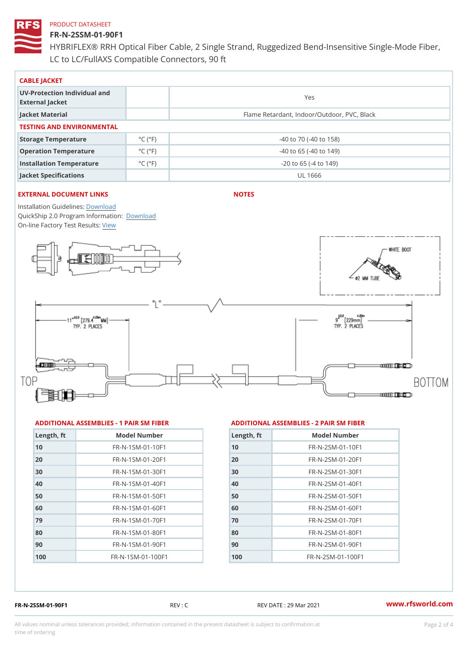## FR-N-2SSM-01-90F1

HYBRIFLEX® RRH Optical Fiber Cable, 2 Single Strand, Ruggedized Be LC to LC/FullAXS Compatible Connectors, 90 ft

| CABLE JACKET                                    |                             |                                             |  |  |  |
|-------------------------------------------------|-----------------------------|---------------------------------------------|--|--|--|
| UV-Protection Individual and<br>External Jacket |                             | Yes                                         |  |  |  |
| Jacket Material                                 |                             | Flame Retardant, Indoor/Outdoor, PVC, Black |  |  |  |
| TESTING AND ENVIRONMENTAL                       |                             |                                             |  |  |  |
| Storage Temperature                             | $^{\circ}$ C ( $^{\circ}$ F | $-40$ to $70$ ( $-40$ to $158$ )            |  |  |  |
| Operation Temperature                           | $^{\circ}$ C ( $^{\circ}$ F | $-40$ to 65 ( $-40$ to 149)                 |  |  |  |
| Installation Temperature                        | $^{\circ}$ C ( $^{\circ}$ F | $-20$ to 65 ( $-4$ to 149)                  |  |  |  |
| Jacket Specifications                           |                             | UL 1666                                     |  |  |  |

## EXTERNAL DOCUMENT LINKS

NOTES

Installation Guidelwinessad QuickShip 2.0 Program [Informa](http://www.rfsworld.com/images/hybriflex/quickship_program_2.pdf)tion: On-line Factory Te[s](https://www.rfsworld.com/pictures/userfiles/programs/AAST Latest Version.zip)teResults:

### ADDITIONAL ASSEMBLIES - 1 PAIR SM FIBERED DITIONAL ASSEMBLIES - 2 PAIR SM FIBER

| Length, ft | Model Number                   |
|------------|--------------------------------|
| 10         | FR-N-1SM-01-10F1               |
| 20         | FR-N-1SM-01-20F1               |
| 30         | $FR - N - 1$ S M - 01 - 30 F 1 |
| 40         | FR-N-1SM-01-40F1               |
| 50         | FR-N-1SM-01-50F1               |
| 60         | $FR - N - 1$ S M - 01 - 60 F 1 |
| 79         | $FR - N - 1$ S M - 01 - 70 F 1 |
| 80         | FR-N-1SM-01-80F1               |
| 90         | FR-N-1SM-01-90F1               |
| 100        | FR-N-1SM-01-100F1              |

| Length, ft | Model Number                  |
|------------|-------------------------------|
| 10         | $FR - N - 2 SM - 01 - 10 F1$  |
| 20         | $FR - N - 2 SM - 01 - 20 F1$  |
| 30         | $FR - N - 2 S M - 01 - 30 F1$ |
| 40         | $FR - N - 2 SM - 01 - 40 F1$  |
| 50         | $FR - N - 2 SM - 01 - 50 F1$  |
| 60         | $FR - N - 2 S M - 01 - 60 F1$ |
| 70         | FR-N-2SM-01-70F1              |
| 80         | $FR - N - 2 S M - 01 - 80 F1$ |
| 90         | FR-N-2SM-01-90F1              |
| 100        | $FR - N - 2 SM - 01 - 100 F1$ |

FR-N-2SSM-01-90F1 REV : C REV DATE : 29 Mar 2021 [www.](https://www.rfsworld.com)rfsworld.com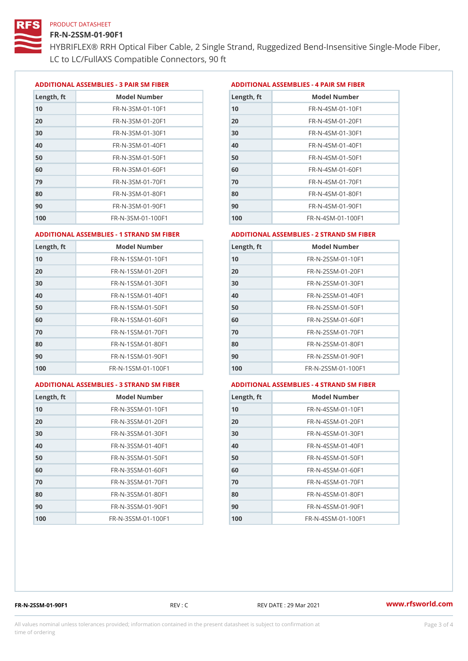## FR-N-2SSM-01-90F1

HYBRIFLEX® RRH Optical Fiber Cable, 2 Single Strand, Ruggedized Be LC to LC/FullAXS Compatible Connectors, 90 ft

ADDITIONAL ASSEMBLIES - 3 PAIR SM FIBERED DITIONAL ASSEMBLIES - 4 PAIR SM FIBER

| Length, ft | Model Number                   |
|------------|--------------------------------|
| 10         | $FR - N - 3 S M - 01 - 10 F1$  |
| 20         | FR-N-3SM-01-20F1               |
| 30         | FR-N-3SM-01-30F1               |
| 40         | $FR - N - 3 S M - 01 - 40 F1$  |
| 50         | FR-N-3SM-01-50F1               |
| 60         | $FR - N - 3 S M - 01 - 60 F1$  |
| 79         | $FR - N - 3 S M - 01 - 70 F1$  |
| 80         | $FR - N - 3 S M - 01 - 80 F1$  |
| 90         | FR-N-3SM-01-90F1               |
| 100        | $FR - N - 3 S M - 01 - 100 F1$ |

| Length, ft | Model Number                   |
|------------|--------------------------------|
| 10         | FR-N-4SM-01-10F1               |
| 20         | $FR - N - 4 SM - 01 - 20 F1$   |
| 30         | $FR - N - 4 S M - 01 - 30 F1$  |
| 40         | $FR - N - 4 SM - 01 - 40 F1$   |
| 50         | FR-N-4SM-01-50F1               |
| 60         | $FR - N - 4 SM - 01 - 60 F1$   |
| 70         | FR-N-4SM-01-70F1               |
| 80         | $FR - N - 4 S M - 01 - 80 F1$  |
| 90         | FR-N-4SM-01-90F1               |
| 100        | $FR - N - 4 S M - 01 - 100 F1$ |

#### ADDITIONAL ASSEMBLIES - 1 STRAND SM FABSDRTIONAL ASSEMBLIES - 2 STRAND SM FIBER

| Length, ft | Model Number                     | Length, ft | Model Number                |
|------------|----------------------------------|------------|-----------------------------|
| 10         | FR-N-1SSM-01-10F1                | 10         | FR-N-2SSM-01-10F1           |
| 20         | FR-N-1SSM-01-20F1                | 20         | FR-N-2SSM-01-20F1           |
| 30         | FR-N-1SSM-01-30F1                | 30         | FR-N-2SSM-01-30F1           |
| 40         | $FR - N - 1$ S S M - 01 - 40 F 1 | 40         | $FR - N - 2SSM - 01 - 40F1$ |
| 50         | $FR - N - 1$ S S M - 01 - 50 F 1 | 50         | $FR - N - 2SSM - 01 - 50F1$ |
| 60         | FR-N-1SSM-01-60F1                | 60         | $FR - N - 2SSM - 01 - 60F1$ |
| 70         | $FR - N - 1$ S S M - 01 - 70 F 1 | 70         | $FR - N - 2SSM - 01 - 70F1$ |
| 80         | FR-N-1SSM-01-80F1                | 80         | FR-N-2SSM-01-80F1           |
| 90         | FR-N-1SSM-01-90F1                | 90         | $FR - N - 2SSM - 01 - 90F1$ |
| 100        | FR-N-1SSM-01-100F1               | 100        | FR-N-2SSM-01-100F1          |
|            |                                  |            |                             |

#### ADDITIONAL ASSEMBLIES - 3 STRAND SM FABSDRTIONAL ASSEMBLIES - 4 STRAND SM FIBER

| Length, ft | Model Number                    |
|------------|---------------------------------|
| 10         | $FR - N - 3 S S M - 01 - 10 F1$ |
| 20         | FR-N-3SSM-01-20F1               |
| 30         | FR-N-3SSM-01-30F1               |
| 40         | $FR - N - 3 S S M - 01 - 40 F1$ |
| 50         | $FR - N - 3 S S M - 01 - 50 F1$ |
| 60         | FR-N-3SSM-01-60F1               |
| 70         | FR-N-3SSM-01-70F1               |
| 80         | $FR - N - 3 S S M - 01 - 80 F1$ |
| 90         | FR-N-3SSM-01-90F1               |
| 100        | FR-N-3SSM-01-100F1              |

| Length, ft | Model Number                     |
|------------|----------------------------------|
| 10         | $FR - N - 4$ S S M - 01 - 10 F 1 |
| 20         | FR-N-4SSM-01-20F1                |
| 30         | $FR - N - 4$ S S M - 01 - 30 F 1 |
| 40         | $FR - N - 4 S S M - 01 - 40 F1$  |
| 50         | FR-N-4SSM-01-50F1                |
| 60         | FR-N-4SSM-01-60F1                |
| 70         | $FR - N - 4$ S S M - 01 - 70 F 1 |
| 80         | $FR - N - 4$ S S M - 01 - 80 F 1 |
| 90         | $FR - N - 4$ S S M - 01 - 90 F 1 |
| 100        | FR-N-4SSM-01-100F1               |

FR-N-2SSM-01-90F1 REV : C REV DATE : 29 Mar 2021 [www.](https://www.rfsworld.com)rfsworld.com

All values nominal unless tolerances provided; information contained in the present datasheet is subject to Pcapgeling that i time of ordering